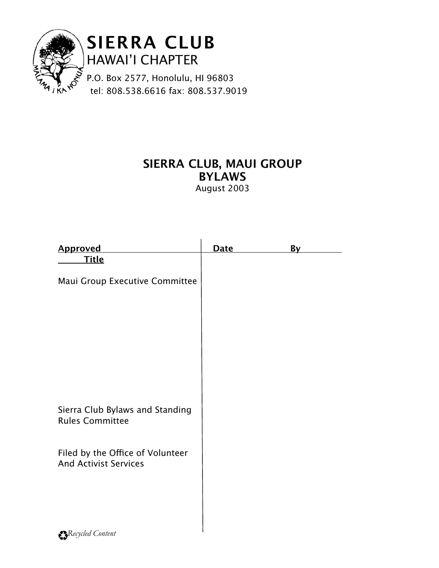

# **SIERRA CLUB, MAUI GROUP BYLAWS**

August 2003

| <b>Approved</b>                                                  | Date | <u>By</u> |  |
|------------------------------------------------------------------|------|-----------|--|
| <b>Title</b>                                                     |      |           |  |
| Maui Group Executive Committee                                   |      |           |  |
|                                                                  |      |           |  |
|                                                                  |      |           |  |
|                                                                  |      |           |  |
|                                                                  |      |           |  |
|                                                                  |      |           |  |
|                                                                  |      |           |  |
|                                                                  |      |           |  |
| Sierra Club Bylaws and Standing<br><b>Rules Committee</b>        |      |           |  |
|                                                                  |      |           |  |
| Filed by the Office of Volunteer<br><b>And Activist Services</b> |      |           |  |
|                                                                  |      |           |  |
|                                                                  |      |           |  |
|                                                                  |      |           |  |
| $\bullet$ D, $l, l \in \{1, \ldots, n\}$                         |      |           |  |

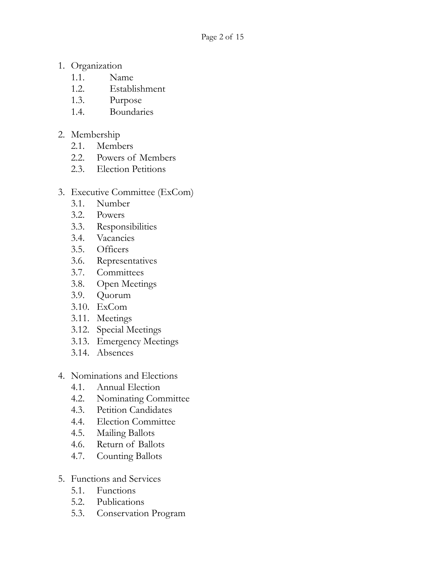- 1. Organization
	- 1.1. Name
	- 1.2. Establishment
	- 1.3. Purpose
	- 1.4. Boundaries
- 2. Membership
	- 2.1. Members
	- 2.2. Powers of Members
	- 2.3. Election Petitions
- 3. Executive Committee (ExCom)
	- 3.1. Number
	- 3.2. Powers
	- 3.3. Responsibilities
	- 3.4. Vacancies
	- 3.5. Officers
	- 3.6. Representatives
	- 3.7. Committees
	- 3.8. Open Meetings
	- 3.9. Quorum
	- 3.10. ExCom
	- 3.11. Meetings
	- 3.12. Special Meetings
	- 3.13. Emergency Meetings
	- 3.14. Absences
- 4. Nominations and Elections
	- 4.1. Annual Election
	- 4.2. Nominating Committee
	- 4.3. Petition Candidates
	- 4.4. Election Committee
	- 4.5. Mailing Ballots
	- 4.6. Return of Ballots
	- 4.7. Counting Ballots
- 5. Functions and Services
	- 5.1. Functions
	- 5.2. Publications
	- 5.3. Conservation Program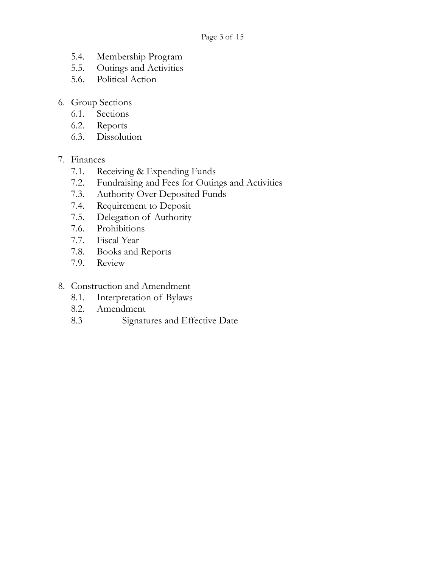- 5.4. Membership Program
- 5.5. Outings and Activities
- 5.6. Political Action
- 6. Group Sections
	- 6.1. Sections
	- 6.2. Reports
	- 6.3. Dissolution

#### 7. Finances

- 7.1. Receiving & Expending Funds
- 7.2. Fundraising and Fees for Outings and Activities
- 7.3. Authority Over Deposited Funds
- 7.4. Requirement to Deposit
- 7.5. Delegation of Authority
- 7.6. Prohibitions
- 7.7. Fiscal Year
- 7.8. Books and Reports
- 7.9. Review

#### 8. Construction and Amendment

- 8.1. Interpretation of Bylaws
- 8.2. Amendment
- 8.3 Signatures and Effective Date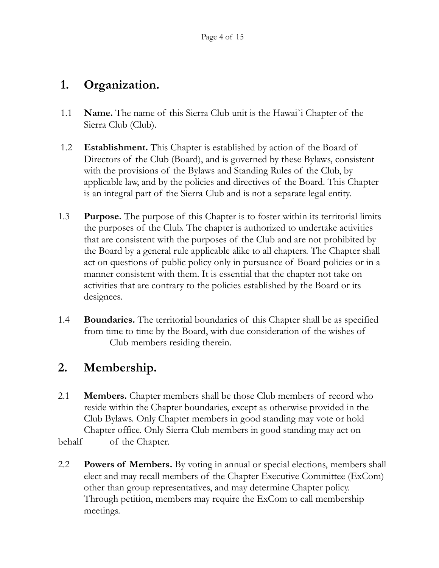### **1. Organization.**

- 1.1 **Name.** The name of this Sierra Club unit is the Hawai`i Chapter of the Sierra Club (Club).
- 1.2 **Establishment.** This Chapter is established by action of the Board of Directors of the Club (Board), and is governed by these Bylaws, consistent with the provisions of the Bylaws and Standing Rules of the Club, by applicable law, and by the policies and directives of the Board. This Chapter is an integral part of the Sierra Club and is not a separate legal entity.
- 1.3 **Purpose.** The purpose of this Chapter is to foster within its territorial limits the purposes of the Club. The chapter is authorized to undertake activities that are consistent with the purposes of the Club and are not prohibited by the Board by a general rule applicable alike to all chapters. The Chapter shall act on questions of public policy only in pursuance of Board policies or in a manner consistent with them. It is essential that the chapter not take on activities that are contrary to the policies established by the Board or its designees.
- 1.4 **Boundaries.** The territorial boundaries of this Chapter shall be as specified from time to time by the Board, with due consideration of the wishes of Club members residing therein.

# **2. Membership.**

- 2.1 **Members.** Chapter members shall be those Club members of record who reside within the Chapter boundaries, except as otherwise provided in the Club Bylaws. Only Chapter members in good standing may vote or hold Chapter office. Only Sierra Club members in good standing may act on behalf of the Chapter.
- 2.2 **Powers of Members.** By voting in annual or special elections, members shall elect and may recall members of the Chapter Executive Committee (ExCom) other than group representatives, and may determine Chapter policy. Through petition, members may require the ExCom to call membership meetings.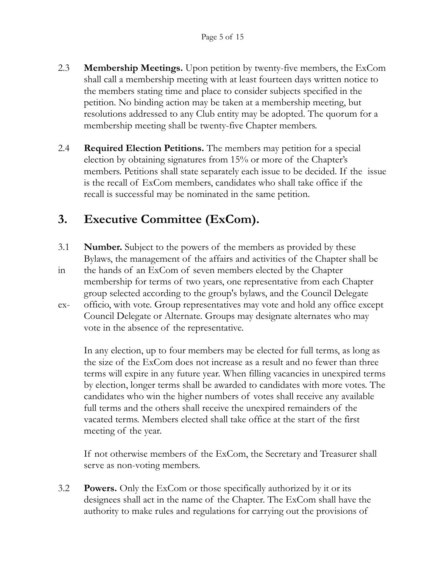- 2.3 **Membership Meetings.** Upon petition by twenty-five members, the ExCom shall call a membership meeting with at least fourteen days written notice to the members stating time and place to consider subjects specified in the petition. No binding action may be taken at a membership meeting, but resolutions addressed to any Club entity may be adopted. The quorum for a membership meeting shall be twenty-five Chapter members.
- 2.4 **Required Election Petitions.** The members may petition for a special election by obtaining signatures from 15% or more of the Chapter's members. Petitions shall state separately each issue to be decided. If the issue is the recall of ExCom members, candidates who shall take office if the recall is successful may be nominated in the same petition.

# **3. Executive Committee (ExCom).**

- 3.1 **Number.** Subject to the powers of the members as provided by these Bylaws, the management of the affairs and activities of the Chapter shall be
- in the hands of an ExCom of seven members elected by the Chapter membership for terms of two years, one representative from each Chapter group selected according to the group's bylaws, and the Council Delegate
- ex- officio, with vote. Group representatives may vote and hold any office except Council Delegate or Alternate. Groups may designate alternates who may vote in the absence of the representative.

 In any election, up to four members may be elected for full terms, as long as the size of the ExCom does not increase as a result and no fewer than three terms will expire in any future year. When filling vacancies in unexpired terms by election, longer terms shall be awarded to candidates with more votes. The candidates who win the higher numbers of votes shall receive any available full terms and the others shall receive the unexpired remainders of the vacated terms. Members elected shall take office at the start of the first meeting of the year.

 If not otherwise members of the ExCom, the Secretary and Treasurer shall serve as non-voting members.

3.2 **Powers.** Only the ExCom or those specifically authorized by it or its designees shall act in the name of the Chapter. The ExCom shall have the authority to make rules and regulations for carrying out the provisions of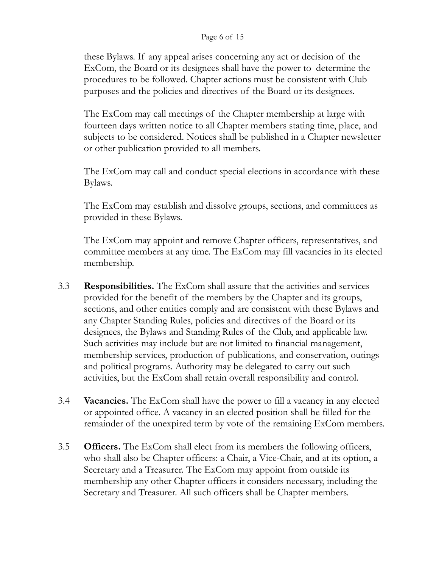#### Page 6 of 15

 these Bylaws. If any appeal arises concerning any act or decision of the ExCom, the Board or its designees shall have the power to determine the procedures to be followed. Chapter actions must be consistent with Club purposes and the policies and directives of the Board or its designees.

 The ExCom may call meetings of the Chapter membership at large with fourteen days written notice to all Chapter members stating time, place, and subjects to be considered. Notices shall be published in a Chapter newsletter or other publication provided to all members.

 The ExCom may call and conduct special elections in accordance with these Bylaws.

 The ExCom may establish and dissolve groups, sections, and committees as provided in these Bylaws.

 The ExCom may appoint and remove Chapter officers, representatives, and committee members at any time. The ExCom may fill vacancies in its elected membership.

- 3.3 **Responsibilities.** The ExCom shall assure that the activities and services provided for the benefit of the members by the Chapter and its groups, sections, and other entities comply and are consistent with these Bylaws and any Chapter Standing Rules, policies and directives of the Board or its designees, the Bylaws and Standing Rules of the Club, and applicable law. Such activities may include but are not limited to financial management, membership services, production of publications, and conservation, outings and political programs. Authority may be delegated to carry out such activities, but the ExCom shall retain overall responsibility and control.
- 3.4 **Vacancies.** The ExCom shall have the power to fill a vacancy in any elected or appointed office. A vacancy in an elected position shall be filled for the remainder of the unexpired term by vote of the remaining ExCom members.
- 3.5 **Officers.** The ExCom shall elect from its members the following officers, who shall also be Chapter officers: a Chair, a Vice-Chair, and at its option, a Secretary and a Treasurer. The ExCom may appoint from outside its membership any other Chapter officers it considers necessary, including the Secretary and Treasurer. All such officers shall be Chapter members.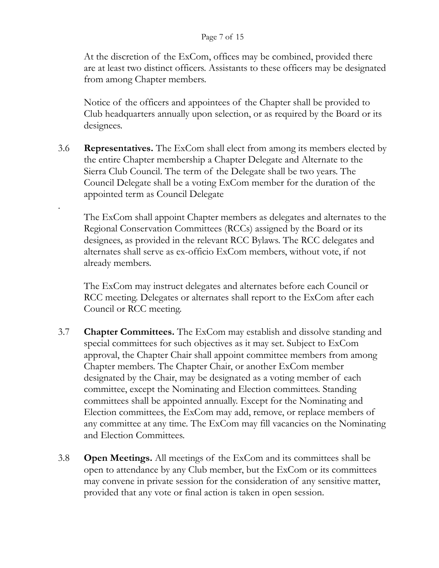#### Page 7 of 15

At the discretion of the ExCom, offices may be combined, provided there are at least two distinct officers. Assistants to these officers may be designated from among Chapter members.

Notice of the officers and appointees of the Chapter shall be provided to Club headquarters annually upon selection, or as required by the Board or its designees.

3.6 **Representatives.** The ExCom shall elect from among its members elected by the entire Chapter membership a Chapter Delegate and Alternate to the Sierra Club Council. The term of the Delegate shall be two years. The Council Delegate shall be a voting ExCom member for the duration of the appointed term as Council Delegate

.

The ExCom shall appoint Chapter members as delegates and alternates to the Regional Conservation Committees (RCCs) assigned by the Board or its designees, as provided in the relevant RCC Bylaws. The RCC delegates and alternates shall serve as ex-officio ExCom members, without vote, if not already members.

The ExCom may instruct delegates and alternates before each Council or RCC meeting. Delegates or alternates shall report to the ExCom after each Council or RCC meeting.

- 3.7 **Chapter Committees.** The ExCom may establish and dissolve standing and special committees for such objectives as it may set. Subject to ExCom approval, the Chapter Chair shall appoint committee members from among Chapter members. The Chapter Chair, or another ExCom member designated by the Chair, may be designated as a voting member of each committee, except the Nominating and Election committees. Standing committees shall be appointed annually. Except for the Nominating and Election committees, the ExCom may add, remove, or replace members of any committee at any time. The ExCom may fill vacancies on the Nominating and Election Committees.
- 3.8 **Open Meetings.** All meetings of the ExCom and its committees shall be open to attendance by any Club member, but the ExCom or its committees may convene in private session for the consideration of any sensitive matter, provided that any vote or final action is taken in open session.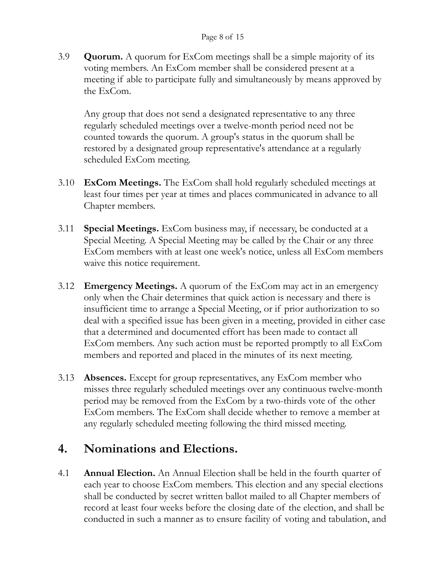3.9 **Quorum.** A quorum for ExCom meetings shall be a simple majority of its voting members. An ExCom member shall be considered present at a meeting if able to participate fully and simultaneously by means approved by the ExCom.

Any group that does not send a designated representative to any three regularly scheduled meetings over a twelve-month period need not be counted towards the quorum. A group's status in the quorum shall be restored by a designated group representative's attendance at a regularly scheduled ExCom meeting.

- 3.10 **ExCom Meetings.** The ExCom shall hold regularly scheduled meetings at least four times per year at times and places communicated in advance to all Chapter members.
- 3.11 **Special Meetings.** ExCom business may, if necessary, be conducted at a Special Meeting. A Special Meeting may be called by the Chair or any three ExCom members with at least one week's notice, unless all ExCom members waive this notice requirement.
- 3.12 **Emergency Meetings.** A quorum of the ExCom may act in an emergency only when the Chair determines that quick action is necessary and there is insufficient time to arrange a Special Meeting, or if prior authorization to so deal with a specified issue has been given in a meeting, provided in either case that a determined and documented effort has been made to contact all ExCom members. Any such action must be reported promptly to all ExCom members and reported and placed in the minutes of its next meeting.
- 3.13 **Absences.** Except for group representatives, any ExCom member who misses three regularly scheduled meetings over any continuous twelve-month period may be removed from the ExCom by a two-thirds vote of the other ExCom members. The ExCom shall decide whether to remove a member at any regularly scheduled meeting following the third missed meeting.

### **4. Nominations and Elections.**

4.1 **Annual Election.** An Annual Election shall be held in the fourth quarter of each year to choose ExCom members. This election and any special elections shall be conducted by secret written ballot mailed to all Chapter members of record at least four weeks before the closing date of the election, and shall be conducted in such a manner as to ensure facility of voting and tabulation, and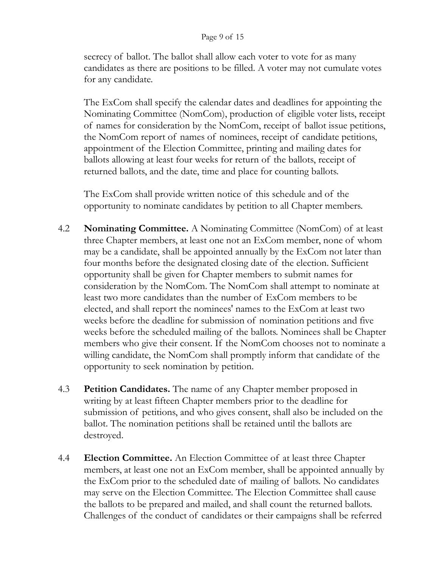#### Page 9 of 15

secrecy of ballot. The ballot shall allow each voter to vote for as many candidates as there are positions to be filled. A voter may not cumulate votes for any candidate.

The ExCom shall specify the calendar dates and deadlines for appointing the Nominating Committee (NomCom), production of eligible voter lists, receipt of names for consideration by the NomCom, receipt of ballot issue petitions, the NomCom report of names of nominees, receipt of candidate petitions, appointment of the Election Committee, printing and mailing dates for ballots allowing at least four weeks for return of the ballots, receipt of returned ballots, and the date, time and place for counting ballots.

The ExCom shall provide written notice of this schedule and of the opportunity to nominate candidates by petition to all Chapter members.

- 4.2 **Nominating Committee.** A Nominating Committee (NomCom) of at least three Chapter members, at least one not an ExCom member, none of whom may be a candidate, shall be appointed annually by the ExCom not later than four months before the designated closing date of the election. Sufficient opportunity shall be given for Chapter members to submit names for consideration by the NomCom. The NomCom shall attempt to nominate at least two more candidates than the number of ExCom members to be elected, and shall report the nominees' names to the ExCom at least two weeks before the deadline for submission of nomination petitions and five weeks before the scheduled mailing of the ballots. Nominees shall be Chapter members who give their consent. If the NomCom chooses not to nominate a willing candidate, the NomCom shall promptly inform that candidate of the opportunity to seek nomination by petition.
- 4.3 **Petition Candidates.** The name of any Chapter member proposed in writing by at least fifteen Chapter members prior to the deadline for submission of petitions, and who gives consent, shall also be included on the ballot. The nomination petitions shall be retained until the ballots are destroyed.
- 4.4 **Election Committee.** An Election Committee of at least three Chapter members, at least one not an ExCom member, shall be appointed annually by the ExCom prior to the scheduled date of mailing of ballots. No candidates may serve on the Election Committee. The Election Committee shall cause the ballots to be prepared and mailed, and shall count the returned ballots. Challenges of the conduct of candidates or their campaigns shall be referred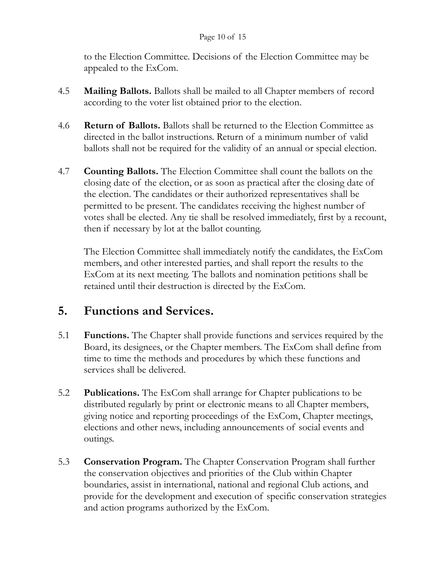#### Page 10 of 15

to the Election Committee. Decisions of the Election Committee may be appealed to the ExCom.

- 4.5 **Mailing Ballots.** Ballots shall be mailed to all Chapter members of record according to the voter list obtained prior to the election.
- 4.6 **Return of Ballots.** Ballots shall be returned to the Election Committee as directed in the ballot instructions. Return of a minimum number of valid ballots shall not be required for the validity of an annual or special election.
- 4.7 **Counting Ballots.** The Election Committee shall count the ballots on the closing date of the election, or as soon as practical after the closing date of the election. The candidates or their authorized representatives shall be permitted to be present. The candidates receiving the highest number of votes shall be elected. Any tie shall be resolved immediately, first by a recount, then if necessary by lot at the ballot counting.

The Election Committee shall immediately notify the candidates, the ExCom members, and other interested parties, and shall report the results to the ExCom at its next meeting. The ballots and nomination petitions shall be retained until their destruction is directed by the ExCom.

# **5. Functions and Services.**

- 5.1 **Functions.** The Chapter shall provide functions and services required by the Board, its designees, or the Chapter members. The ExCom shall define from time to time the methods and procedures by which these functions and services shall be delivered.
- 5.2 **Publications.** The ExCom shall arrange for Chapter publications to be distributed regularly by print or electronic means to all Chapter members, giving notice and reporting proceedings of the ExCom, Chapter meetings, elections and other news, including announcements of social events and outings.
- 5.3 **Conservation Program.** The Chapter Conservation Program shall further the conservation objectives and priorities of the Club within Chapter boundaries, assist in international, national and regional Club actions, and provide for the development and execution of specific conservation strategies and action programs authorized by the ExCom.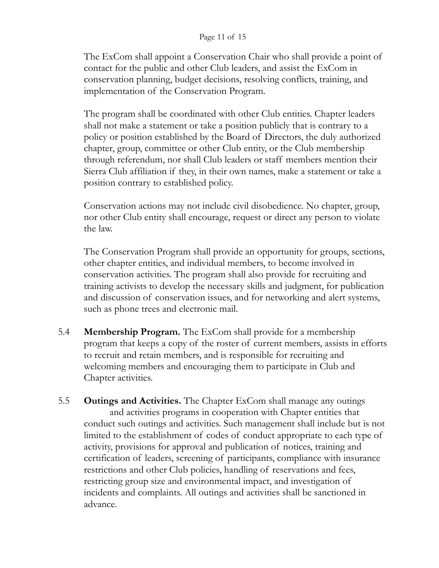#### Page 11 of 15

The ExCom shall appoint a Conservation Chair who shall provide a point of contact for the public and other Club leaders, and assist the ExCom in conservation planning, budget decisions, resolving conflicts, training, and implementation of the Conservation Program.

The program shall be coordinated with other Club entities. Chapter leaders shall not make a statement or take a position publicly that is contrary to a policy or position established by the Board of Directors, the duly authorized chapter, group, committee or other Club entity, or the Club membership through referendum, nor shall Club leaders or staff members mention their Sierra Club affiliation if they, in their own names, make a statement or take a position contrary to established policy.

Conservation actions may not include civil disobedience. No chapter, group, nor other Club entity shall encourage, request or direct any person to violate the law.

The Conservation Program shall provide an opportunity for groups, sections, other chapter entities, and individual members, to become involved in conservation activities. The program shall also provide for recruiting and training activists to develop the necessary skills and judgment, for publication and discussion of conservation issues, and for networking and alert systems, such as phone trees and electronic mail.

- 5.4 **Membership Program.** The ExCom shall provide for a membership program that keeps a copy of the roster of current members, assists in efforts to recruit and retain members, and is responsible for recruiting and welcoming members and encouraging them to participate in Club and Chapter activities.
- 5.5 **Outings and Activities.** The Chapter ExCom shall manage any outings and activities programs in cooperation with Chapter entities that conduct such outings and activities. Such management shall include but is not limited to the establishment of codes of conduct appropriate to each type of activity, provisions for approval and publication of notices, training and certification of leaders, screening of participants, compliance with insurance restrictions and other Club policies, handling of reservations and fees, restricting group size and environmental impact, and investigation of incidents and complaints. All outings and activities shall be sanctioned in advance.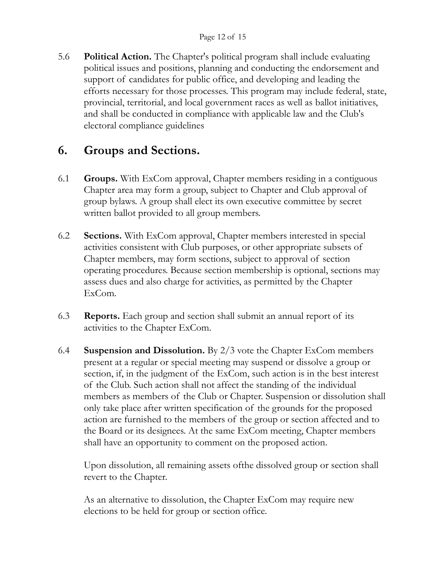5.6 **Political Action.** The Chapter's political program shall include evaluating political issues and positions, planning and conducting the endorsement and support of candidates for public office, and developing and leading the efforts necessary for those processes. This program may include federal, state, provincial, territorial, and local government races as well as ballot initiatives, and shall be conducted in compliance with applicable law and the Club's electoral compliance guidelines

### **6. Groups and Sections.**

- 6.1 **Groups.** With ExCom approval, Chapter members residing in a contiguous Chapter area may form a group, subject to Chapter and Club approval of group bylaws. A group shall elect its own executive committee by secret written ballot provided to all group members.
- 6.2 **Sections.** With ExCom approval, Chapter members interested in special activities consistent with Club purposes, or other appropriate subsets of Chapter members, may form sections, subject to approval of section operating procedures. Because section membership is optional, sections may assess dues and also charge for activities, as permitted by the Chapter ExCom.
- 6.3 **Reports.** Each group and section shall submit an annual report of its activities to the Chapter ExCom.
- 6.4 **Suspension and Dissolution.** By 2/3 vote the Chapter ExCom members present at a regular or special meeting may suspend or dissolve a group or section, if, in the judgment of the ExCom, such action is in the best interest of the Club. Such action shall not affect the standing of the individual members as members of the Club or Chapter. Suspension or dissolution shall only take place after written specification of the grounds for the proposed action are furnished to the members of the group or section affected and to the Board or its designees. At the same ExCom meeting, Chapter members shall have an opportunity to comment on the proposed action.

Upon dissolution, all remaining assets ofthe dissolved group or section shall revert to the Chapter.

As an alternative to dissolution, the Chapter ExCom may require new elections to be held for group or section office.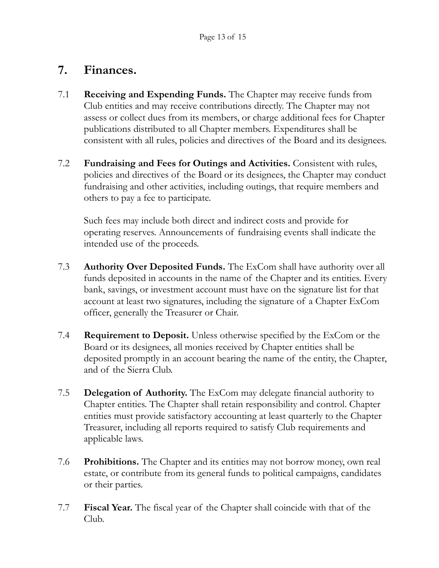### **7. Finances.**

- 7.1 **Receiving and Expending Funds.** The Chapter may receive funds from Club entities and may receive contributions directly. The Chapter may not assess or collect dues from its members, or charge additional fees for Chapter publications distributed to all Chapter members. Expenditures shall be consistent with all rules, policies and directives of the Board and its designees.
- 7.2 **Fundraising and Fees for Outings and Activities.** Consistent with rules, policies and directives of the Board or its designees, the Chapter may conduct fundraising and other activities, including outings, that require members and others to pay a fee to participate.

Such fees may include both direct and indirect costs and provide for operating reserves. Announcements of fundraising events shall indicate the intended use of the proceeds.

- 7.3 **Authority Over Deposited Funds.** The ExCom shall have authority over all funds deposited in accounts in the name of the Chapter and its entities. Every bank, savings, or investment account must have on the signature list for that account at least two signatures, including the signature of a Chapter ExCom officer, generally the Treasurer or Chair.
- 7.4 **Requirement to Deposit.** Unless otherwise specified by the ExCom or the Board or its designees, all monies received by Chapter entities shall be deposited promptly in an account bearing the name of the entity, the Chapter, and of the Sierra Club.
- 7.5 **Delegation of Authority.** The ExCom may delegate financial authority to Chapter entities. The Chapter shall retain responsibility and control. Chapter entities must provide satisfactory accounting at least quarterly to the Chapter Treasurer, including all reports required to satisfy Club requirements and applicable laws.
- 7.6 **Prohibitions.** The Chapter and its entities may not borrow money, own real estate, or contribute from its general funds to political campaigns, candidates or their parties.
- 7.7 **Fiscal Year.** The fiscal year of the Chapter shall coincide with that of the Club.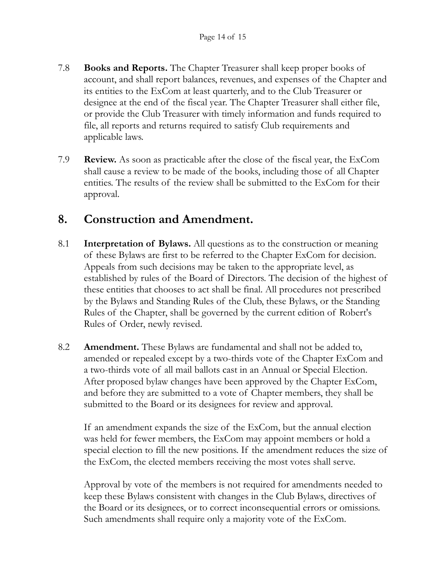- 7.8 **Books and Reports.** The Chapter Treasurer shall keep proper books of account, and shall report balances, revenues, and expenses of the Chapter and its entities to the ExCom at least quarterly, and to the Club Treasurer or designee at the end of the fiscal year. The Chapter Treasurer shall either file, or provide the Club Treasurer with timely information and funds required to file, all reports and returns required to satisfy Club requirements and applicable laws.
- 7.9 **Review.** As soon as practicable after the close of the fiscal year, the ExCom shall cause a review to be made of the books, including those of all Chapter entities. The results of the review shall be submitted to the ExCom for their approval.

### **8. Construction and Amendment.**

- 8.1 **Interpretation of Bylaws.** All questions as to the construction or meaning of these Bylaws are first to be referred to the Chapter ExCom for decision. Appeals from such decisions may be taken to the appropriate level, as established by rules of the Board of Directors. The decision of the highest of these entities that chooses to act shall be final. All procedures not prescribed by the Bylaws and Standing Rules of the Club, these Bylaws, or the Standing Rules of the Chapter, shall be governed by the current edition of Robert's Rules of Order, newly revised.
- 8.2 **Amendment.** These Bylaws are fundamental and shall not be added to, amended or repealed except by a two-thirds vote of the Chapter ExCom and a two-thirds vote of all mail ballots cast in an Annual or Special Election. After proposed bylaw changes have been approved by the Chapter ExCom, and before they are submitted to a vote of Chapter members, they shall be submitted to the Board or its designees for review and approval.

If an amendment expands the size of the ExCom, but the annual election was held for fewer members, the ExCom may appoint members or hold a special election to fill the new positions. If the amendment reduces the size of the ExCom, the elected members receiving the most votes shall serve.

Approval by vote of the members is not required for amendments needed to keep these Bylaws consistent with changes in the Club Bylaws, directives of the Board or its designees, or to correct inconsequential errors or omissions. Such amendments shall require only a majority vote of the ExCom.